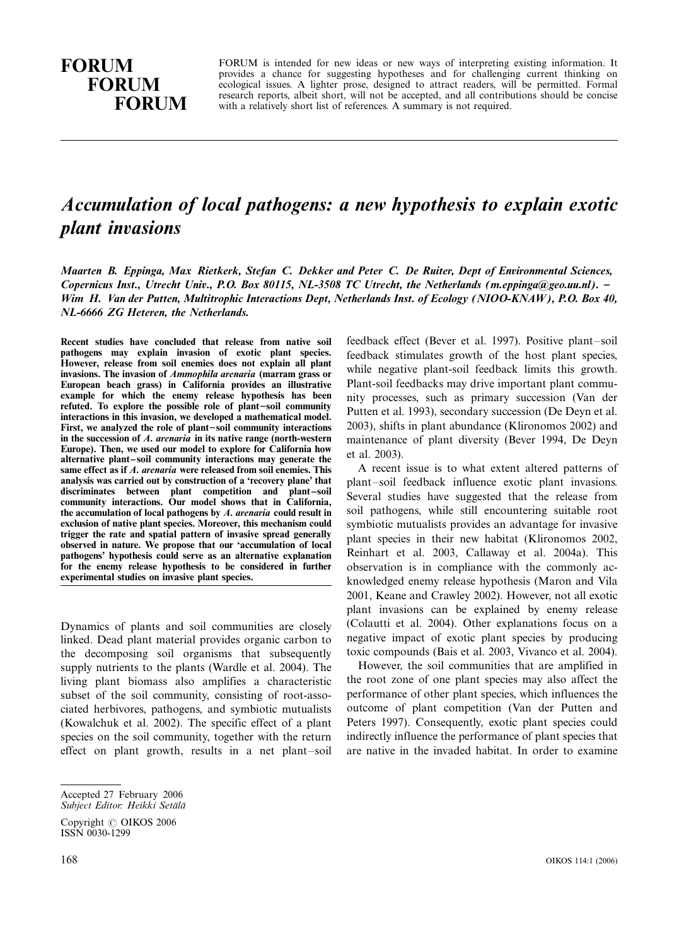# FORUM FORUM FORUM

FORUM is intended for new ideas or new ways of interpreting existing information. It provides a chance for suggesting hypotheses and for challenging current thinking on ecological issues. A lighter prose, designed to attract readers, will be permitted. Formal research reports, albeit short, will not be accepted, and all contributions should be concise with a relatively short list of references. A summary is not required.

# Accumulation of local pathogens: a new hypothesis to explain exotic plant invasions

Maarten B. Eppinga, Max Rietkerk, Stefan C. Dekker and Peter C. De Ruiter, Dept of Environmental Sciences, Copernicus Inst., Utrecht Univ., P.O. Box 80115, NL-3508 TC Utrecht, the Netherlands (m.eppinga@geo.uu.nl). Wim H. Van der Putten, Multitrophic Interactions Dept, Netherlands Inst. of Ecology (NIOO-KNAW), P.O. Box 40, NL-6666 ZG Heteren, the Netherlands.

Recent studies have concluded that release from native soil pathogens may explain invasion of exotic plant species. However, release from soil enemies does not explain all plant invasions. The invasion of Ammophila arenaria (marram grass or European beach grass) in California provides an illustrative example for which the enemy release hypothesis has been refuted. To explore the possible role of plant-soil community interactions in this invasion, we developed a mathematical model. First, we analyzed the role of plant-soil community interactions in the succession of A. arenaria in its native range (north-western Europe). Then, we used our model to explore for California how alternative plant-soil community interactions may generate the same effect as if A. arenaria were released from soil enemies. This analysis was carried out by construction of a 'recovery plane' that discriminates between plant competition and plant–soil<br>community interactions. Our model shows that in California, the accumulation of local pathogens by  $A$ . arenaria could result in exclusion of native plant species. Moreover, this mechanism could trigger the rate and spatial pattern of invasive spread generally observed in nature. We propose that our 'accumulation of local pathogens' hypothesis could serve as an alternative explanation for the enemy release hypothesis to be considered in further experimental studies on invasive plant species.

Dynamics of plants and soil communities are closely linked. Dead plant material provides organic carbon to the decomposing soil organisms that subsequently supply nutrients to the plants (Wardle et al. 2004). The living plant biomass also amplifies a characteristic subset of the soil community, consisting of root-associated herbivores, pathogens, and symbiotic mutualists (Kowalchuk et al. 2002). The specific effect of a plant species on the soil community, together with the return effect on plant growth, results in a net plant-soil feedback effect (Bever et al. 1997). Positive plant-soil feedback stimulates growth of the host plant species, while negative plant-soil feedback limits this growth. Plant-soil feedbacks may drive important plant community processes, such as primary succession (Van der Putten et al. 1993), secondary succession (De Deyn et al. 2003), shifts in plant abundance (Klironomos 2002) and maintenance of plant diversity (Bever 1994, De Deyn et al. 2003).

A recent issue is to what extent altered patterns of plant-soil feedback influence exotic plant invasions. Several studies have suggested that the release from soil pathogens, while still encountering suitable root symbiotic mutualists provides an advantage for invasive plant species in their new habitat (Klironomos 2002, Reinhart et al. 2003, Callaway et al. 2004a). This observation is in compliance with the commonly acknowledged enemy release hypothesis (Maron and Vila 2001, Keane and Crawley 2002). However, not all exotic plant invasions can be explained by enemy release (Colautti et al. 2004). Other explanations focus on a negative impact of exotic plant species by producing toxic compounds (Bais et al. 2003, Vivanco et al. 2004).

However, the soil communities that are amplified in the root zone of one plant species may also affect the performance of other plant species, which influences the outcome of plant competition (Van der Putten and Peters 1997). Consequently, exotic plant species could indirectly influence the performance of plant species that are native in the invaded habitat. In order to examine

Accepted 27 February 2006 Subject Editor: Heikki Setälä

Copyright © OIKOS 2006 ISSN 0030-1299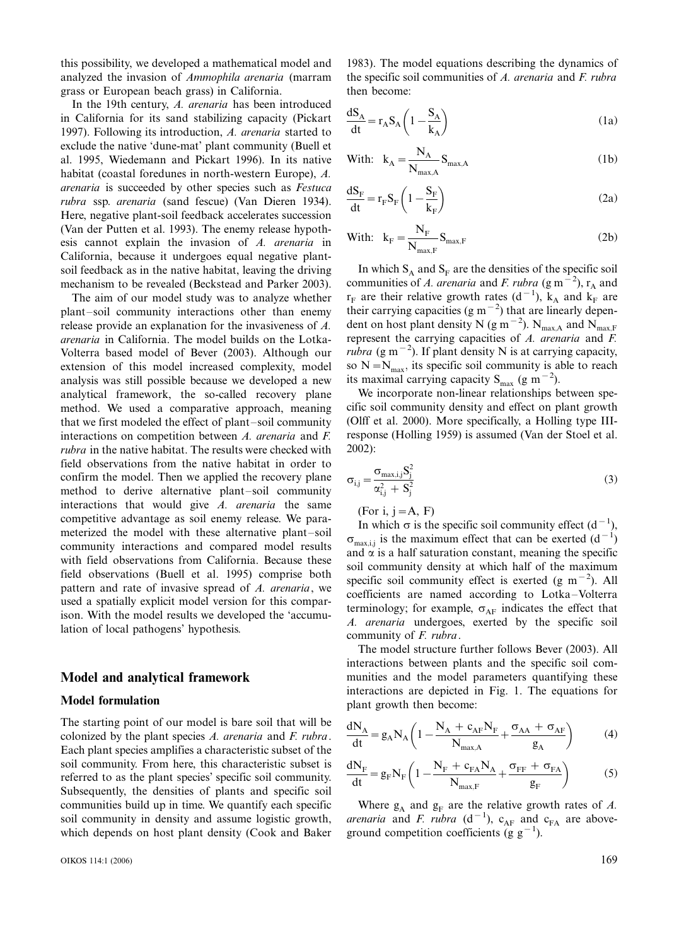this possibility, we developed a mathematical model and analyzed the invasion of Ammophila arenaria (marram grass or European beach grass) in California.

In the 19th century, A. arenaria has been introduced in California for its sand stabilizing capacity (Pickart 1997). Following its introduction, A. arenaria started to exclude the native 'dune-mat' plant community (Buell et al. 1995, Wiedemann and Pickart 1996). In its native habitat (coastal foredunes in north-western Europe), A. arenaria is succeeded by other species such as Festuca rubra ssp. arenaria (sand fescue) (Van Dieren 1934). Here, negative plant-soil feedback accelerates succession (Van der Putten et al. 1993). The enemy release hypothesis cannot explain the invasion of A. arenaria in California, because it undergoes equal negative plantsoil feedback as in the native habitat, leaving the driving mechanism to be revealed (Beckstead and Parker 2003).

The aim of our model study was to analyze whether plant-soil community interactions other than enemy release provide an explanation for the invasiveness of A. arenaria in California. The model builds on the Lotka-Volterra based model of Bever (2003). Although our extension of this model increased complexity, model analysis was still possible because we developed a new analytical framework, the so-called recovery plane method. We used a comparative approach, meaning that we first modeled the effect of plant-soil community interactions on competition between A. arenaria and F. rubra in the native habitat. The results were checked with field observations from the native habitat in order to confirm the model. Then we applied the recovery plane method to derive alternative plant-soil community interactions that would give A. arenaria the same competitive advantage as soil enemy release. We parameterized the model with these alternative plant-soil community interactions and compared model results with field observations from California. Because these field observations (Buell et al. 1995) comprise both pattern and rate of invasive spread of A. arenaria, we used a spatially explicit model version for this comparison. With the model results we developed the 'accumulation of local pathogens' hypothesis.

#### Model and analytical framework

#### Model formulation

The starting point of our model is bare soil that will be colonized by the plant species A. arenaria and F. rubra. Each plant species amplifies a characteristic subset of the soil community. From here, this characteristic subset is referred to as the plant species' specific soil community. Subsequently, the densities of plants and specific soil communities build up in time. We quantify each specific soil community in density and assume logistic growth, which depends on host plant density (Cook and Baker 1983). The model equations describing the dynamics of the specific soil communities of A. arenaria and F. rubra then become:

$$
\frac{dS_A}{dt} = r_A S_A \left( 1 - \frac{S_A}{k_A} \right)
$$
 (1a)

With: 
$$
k_A = \frac{N_A}{N_{\text{max},A}} S_{\text{max},A}
$$
 (1b)

$$
\frac{dS_F}{dt} = r_F S_F \left( 1 - \frac{S_F}{k_F} \right)
$$
 (2a)

With: 
$$
k_F = \frac{N_F}{N_{\text{max},F}} S_{\text{max},F}
$$
 (2b)

In which  $S_A$  and  $S_F$  are the densities of the specific soil communities of A. arenaria and F. rubra (g m<sup>-2</sup>),  $r_A$  and  $r_F$  are their relative growth rates (d<sup>-1</sup>), k<sub>A</sub> and k<sub>F</sub> are their carrying capacities  $(g m^{-2})$  that are linearly dependent on host plant density N (g m<sup>-2</sup>).  $N_{\text{max,A}}$  and  $N_{\text{max,F}}$ represent the carrying capacities of A. arenaria and F. *rubra* (g m<sup> $-2$ </sup>). If plant density N is at carrying capacity, so  $N = N_{max}$ , its specific soil community is able to reach its maximal carrying capacity  $S_{\text{max}}$  (g m<sup>-2</sup>).

We incorporate non-linear relationships between specific soil community density and effect on plant growth (Olff et al. 2000). More specifically, a Holling type IIIresponse (Holling 1959) is assumed (Van der Stoel et al. 2002):

$$
\sigma_{i,j} = \frac{\sigma_{\text{max},i,j} S_j^2}{\alpha_{i,j}^2 + S_j^2}
$$
\n(3)

 $(For i, j = A, F)$ 

In which  $\sigma$  is the specific soil community effect (d<sup>-1</sup>),  $\sigma_{\text{max},i,j}$  is the maximum effect that can be exerted  $(d^{-1})$ and  $\alpha$  is a half saturation constant, meaning the specific soil community density at which half of the maximum specific soil community effect is exerted  $(g m^{-2})$ . All coefficients are named according to Lotka-Volterra terminology; for example,  $\sigma_{AF}$  indicates the effect that A. arenaria undergoes, exerted by the specific soil community of *F. rubra*.

The model structure further follows Bever (2003). All interactions between plants and the specific soil communities and the model parameters quantifying these interactions are depicted in Fig. 1. The equations for plant growth then become:

$$
\frac{dN_A}{dt} = g_A N_A \left( 1 - \frac{N_A + c_{AF} N_F}{N_{max,A}} + \frac{\sigma_{AA} + \sigma_{AF}}{g_A} \right)
$$
(4)

$$
\frac{dN_F}{dt} = g_F N_F \left( 1 - \frac{N_F + c_{FA} N_A}{N_{max,F}} + \frac{\sigma_{FF} + \sigma_{FA}}{g_F} \right)
$$
(5)

Where  $g_A$  and  $g_F$  are the relative growth rates of A. *arenaria* and *F. rubra* ( $d^{-1}$ ),  $c_{AF}$  and  $c_{FA}$  are aboveground competition coefficients (g  $g^{-1}$ ).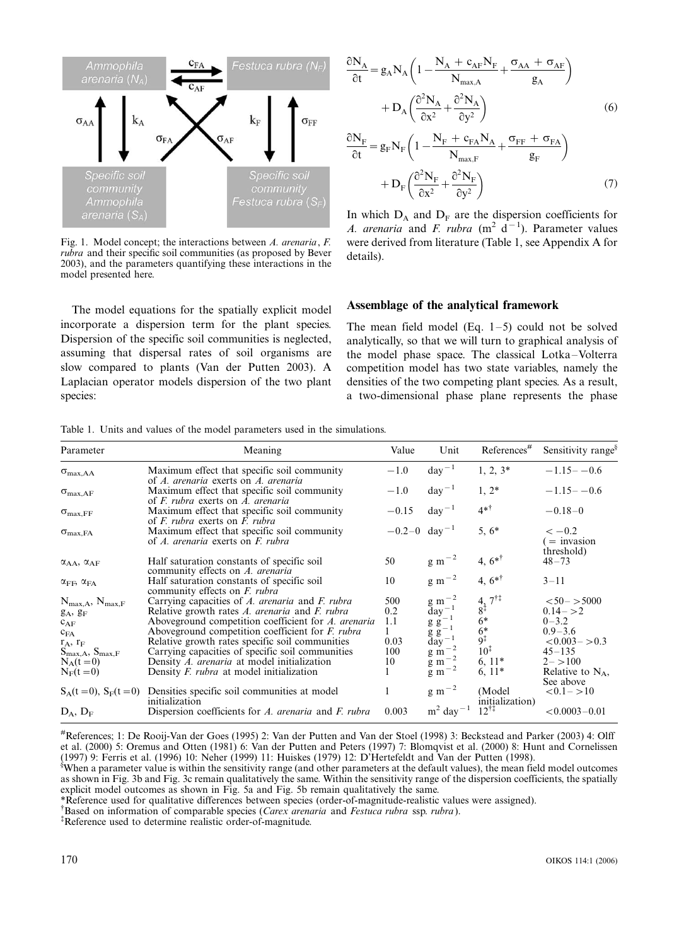

Fig. 1. Model concept; the interactions between A. arenaria, F. rubra and their specific soil communities (as proposed by Bever 2003), and the parameters quantifying these interactions in the model presented here.

The model equations for the spatially explicit model incorporate a dispersion term for the plant species. Dispersion of the specific soil communities is neglected, assuming that dispersal rates of soil organisms are slow compared to plants (Van der Putten 2003). A Laplacian operator models dispersion of the two plant species:

Table 1. Units and values of the model parameters used in the simulations.

$$
\frac{\partial N_A}{\partial t} = g_A N_A \left( 1 - \frac{N_A + c_{AF} N_F}{N_{max,A}} + \frac{\sigma_{AA} + \sigma_{AF}}{g_A} \right) + D_A \left( \frac{\partial^2 N_A}{\partial x^2} + \frac{\partial^2 N_A}{\partial y^2} \right)
$$
(6)

$$
\frac{\partial N_F}{\partial t} = g_F N_F \left( 1 - \frac{N_F + c_{FA} N_A}{N_{max,F}} + \frac{\sigma_{FF} + \sigma_{FA}}{g_F} \right) + D_F \left( \frac{\partial^2 N_F}{\partial x^2} + \frac{\partial^2 N_F}{\partial y^2} \right)
$$
(7)

In which  $D_A$  and  $D_F$  are the dispersion coefficients for A. arenaria and F. rubra  $(m^2 d^{-1})$ . Parameter values were derived from literature (Table 1, see Appendix A for details).

#### Assemblage of the analytical framework

The mean field model (Eq.  $1-5$ ) could not be solved analytically, so that we will turn to graphical analysis of the model phase space. The classical Lotka-Volterra competition model has two state variables, namely the densities of the two competing plant species. As a result, a two-dimensional phase plane represents the phase

| Parameter                                                | Meaning                                                                                                        | Value                      | Unit                                                                             | References <sup>#</sup>                        | Sensitivity range <sup>§</sup>        |
|----------------------------------------------------------|----------------------------------------------------------------------------------------------------------------|----------------------------|----------------------------------------------------------------------------------|------------------------------------------------|---------------------------------------|
| $\sigma_{\text{max,AA}}$                                 | Maximum effect that specific soil community<br>of A. arenaria exerts on A. arenaria                            | $-1.0$                     | $day^{-1}$                                                                       | $1, 2, 3^*$                                    | $-1.15 - -0.6$                        |
| $\sigma_{\text{max,AF}}$                                 | Maximum effect that specific soil community<br>of <i>F. rubra</i> exerts on <i>A. arenaria</i>                 | $-1.0$                     | $day^{-1}$                                                                       | $1, 2^*$                                       | $-1.15 - -0.6$                        |
| $\sigma_{\text{max,FF}}$                                 | Maximum effect that specific soil community<br>of <i>F. rubra</i> exerts on <i>F. rubra</i>                    | $-0.15$                    | $day^{-1}$                                                                       | $4^{*+}$                                       | $-0.18 - 0$                           |
| $\sigma_{\text{max.FA}}$                                 | Maximum effect that specific soil community<br>of A. arenaria exerts on F. rubra                               | $-0.2-0$ day <sup>-1</sup> |                                                                                  | $5, 6*$                                        | $<-0.2$<br>$=$ invasion<br>threshold) |
| $\alpha_{AA}$ , $\alpha_{AF}$                            | Half saturation constants of specific soil<br>community effects on A. arenaria                                 | 50                         | $g m^{-2}$                                                                       | 4, $6^{*+}$                                    | $48 - 73$                             |
| $\alpha$ FF, $\alpha$ FA                                 | Half saturation constants of specific soil<br>community effects on <i>F. rubra</i>                             | 10                         | $g \text{ m}^{-2}$                                                               | 4, $6^{*^{\dagger}}$                           | $3 - 11$                              |
| $N_{\text{max},A}$ , $N_{\text{max},F}$<br>$g_A$ , $g_F$ | Carrying capacities of A. arenaria and F. rubra<br>Relative growth rates A. arenaria and F. rubra              | 500<br>0.2                 | $g \text{ m}^{-2}$                                                               | $\frac{4}{8^{\frac{1}{4}}}7^{\dagger\ddagger}$ | $< 50 - 5000$<br>$0.14 - > 2$         |
| $c_{AF}$<br>$c_{FA}$                                     | Aboveground competition coefficient for A. arenaria<br>Aboveground competition coefficient for <i>F. rubra</i> | 1.1                        | day <sup>-1</sup><br>g g <sup>-1</sup><br>g g <sup>-1</sup><br>day <sup>-1</sup> | $6*$<br>$6*$                                   | $0 - 3.2$<br>$0.9 - 3.6$              |
| $r_A$ , $r_F$<br>$S_{\text{max},A}$ , $S_{\text{max},F}$ | Relative growth rates specific soil communities<br>Carrying capacities of specific soil communities            | 0.03<br>100                | $g \text{ m}^{-2}$                                                               | 9 <sup>†</sup><br>$10^{\ddagger}$              | $< 0.003 - 0.3$<br>$45 - 135$         |
| $N_A(t=0)$                                               | Density A. arenaria at model initialization                                                                    | 10                         | $g \text{ m}^{-2}$                                                               | 6, $11*$                                       | $2 - > 100$                           |
| $N_F(t=0)$                                               | Density F. rubra at model initialization                                                                       |                            | $\rm \bar{g}~m^{-2}$                                                             | $6, 11*$                                       | Relative to $N_A$ ,<br>See above      |
|                                                          | $S_A(t=0)$ , $S_F(t=0)$ Densities specific soil communities at model<br>initialization                         | 1                          | $g m^{-2}$                                                                       | (Model)<br>initialization)                     | $< 0.1 - 10$                          |
| $D_A, D_F$                                               | Dispersion coefficients for A. arenaria and F. rubra                                                           | 0.003                      | $m^2$ day <sup>-1</sup>                                                          | $12^{\dagger\ddagger}$                         | $< 0.0003 - 0.01$                     |

#References; 1: De Rooij-Van der Goes (1995) 2: Van der Putten and Van der Stoel (1998) 3: Beckstead and Parker (2003) 4: Olff et al. (2000) 5: Oremus and Otten (1981) 6: Van der Putten and Peters (1997) 7: Blomqvist et al. (2000) 8: Hunt and Cornelissen (1997) 9: Ferris et al. (1996) 10: Neher (1999) 11: Huiskes (1979) 12: D'Hertefeldt and Van der Putten (1998).

§ When a parameter value is within the sensitivity range (and other parameters at the default values), the mean field model outcomes as shown in Fig. 3b and Fig. 3c remain qualitatively the same. Within the sensitivity range of the dispersion coefficients, the spatially explicit model outcomes as shown in Fig. 5a and Fig. 5b remain qualitatively the same.

\*Reference used for qualitative differences between species (order-of-magnitude-realistic values were assigned).

<sup>†</sup>Based on information of comparable species (*Carex arenaria* and *Festuca rubra* ssp. *rubra*).

<sup>‡</sup>Reference used to determine realistic order-of-magnitude.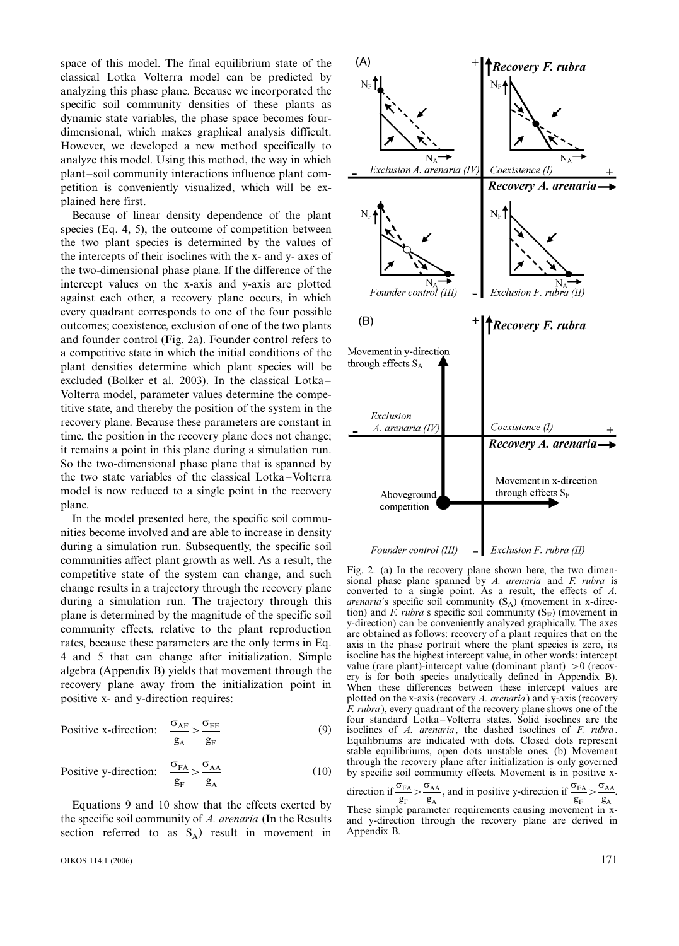space of this model. The final equilibrium state of the classical Lotka-Volterra model can be predicted by analyzing this phase plane. Because we incorporated the specific soil community densities of these plants as dynamic state variables, the phase space becomes fourdimensional, which makes graphical analysis difficult. However, we developed a new method specifically to analyze this model. Using this method, the way in which plant-soil community interactions influence plant competition is conveniently visualized, which will be explained here first.

Because of linear density dependence of the plant species (Eq. 4, 5), the outcome of competition between the two plant species is determined by the values of the intercepts of their isoclines with the x- and y- axes of the two-dimensional phase plane. If the difference of the intercept values on the x-axis and y-axis are plotted against each other, a recovery plane occurs, in which every quadrant corresponds to one of the four possible outcomes; coexistence, exclusion of one of the two plants and founder control (Fig. 2a). Founder control refers to a competitive state in which the initial conditions of the plant densities determine which plant species will be excluded (Bolker et al. 2003). In the classical Lotka Volterra model, parameter values determine the competitive state, and thereby the position of the system in the recovery plane. Because these parameters are constant in time, the position in the recovery plane does not change; it remains a point in this plane during a simulation run. So the two-dimensional phase plane that is spanned by the two state variables of the classical Lotka-Volterra model is now reduced to a single point in the recovery plane.

In the model presented here, the specific soil communities become involved and are able to increase in density during a simulation run. Subsequently, the specific soil communities affect plant growth as well. As a result, the competitive state of the system can change, and such change results in a trajectory through the recovery plane during a simulation run. The trajectory through this plane is determined by the magnitude of the specific soil community effects, relative to the plant reproduction rates, because these parameters are the only terms in Eq. 4 and 5 that can change after initialization. Simple algebra (Appendix B) yields that movement through the recovery plane away from the initialization point in positive x- and y-direction requires:

Positive x-direction: 
$$
\frac{\sigma_{AF}}{g_A} > \frac{\sigma_{FF}}{g_F}
$$
 (9)

Positive y-direction: 
$$
\frac{\sigma_{FA}}{g_F} > \frac{\sigma_{AA}}{g_A}
$$
 (10)

Equations 9 and 10 show that the effects exerted by the specific soil community of A. arenaria (In the Results section referred to as  $S_A$ ) result in movement in



 $-$  Exclusion F. rubra (II) Founder control (III)

Fig. 2. (a) In the recovery plane shown here, the two dimensional phase plane spanned by A. arenaria and F. rubra is converted to a single point. As a result, the effects of A. arenaria's specific soil community  $(S_A)$  (movement in x-direction) and F. rubra's specific soil community  $(S_F)$  (movement in y-direction) can be conveniently analyzed graphically. The axes are obtained as follows: recovery of a plant requires that on the axis in the phase portrait where the plant species is zero, its isocline has the highest intercept value, in other words: intercept value (rare plant)-intercept value (dominant plant) >0 (recovery is for both species analytically defined in Appendix B). When these differences between these intercept values are plotted on the x-axis (recovery  $A$ . arenaria) and y-axis (recovery F. rubra), every quadrant of the recovery plane shows one of the four standard Lotka-Volterra states. Solid isoclines are the isoclines of  $A$ . arenaria, the dashed isoclines of  $F$ . rubra. Equilibriums are indicated with dots. Closed dots represent stable equilibriums, open dots unstable ones. (b) Movement through the recovery plane after initialization is only governed by specific soil community effects. Movement is in positive xdirection if  $\frac{\sigma_{FA}}{\sigma_{AA}} > \frac{\sigma_{AA}}{\sigma_{AA}}$ , and in positive y-direction if  $\frac{\sigma_{FA}}{\sigma_{AA}} >$  $g_F$  $g_A$  $g_F$  $\sigma_{AA}$  $g_A$ These simple parameter requirements causing movement in xand y-direction through the recovery plane are derived in Appendix B.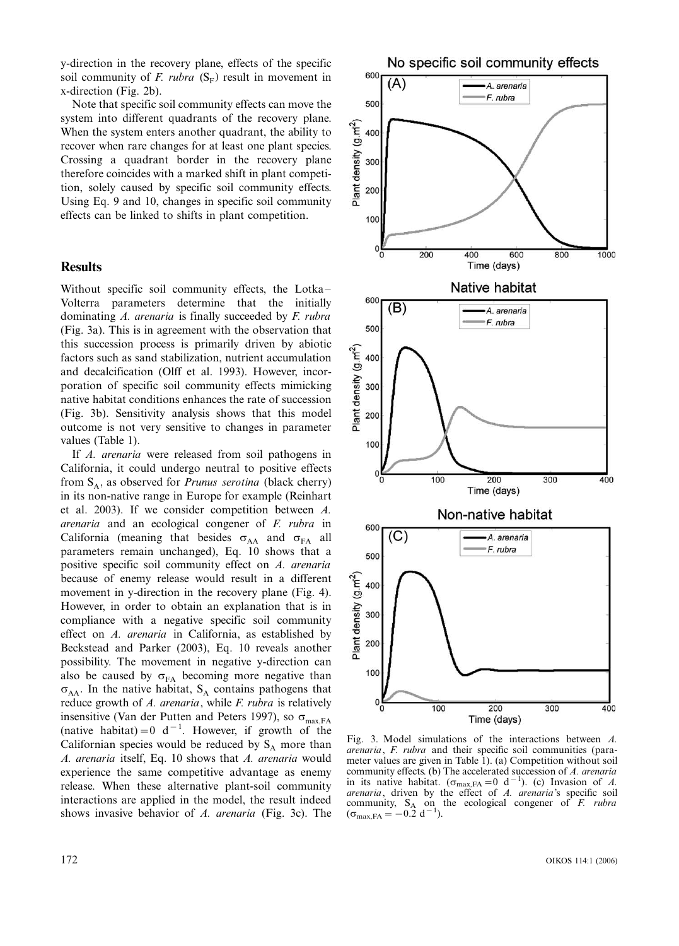y-direction in the recovery plane, effects of the specific soil community of F. rubra  $(S<sub>E</sub>)$  result in movement in x-direction (Fig. 2b).

Note that specific soil community effects can move the system into different quadrants of the recovery plane. When the system enters another quadrant, the ability to recover when rare changes for at least one plant species. Crossing a quadrant border in the recovery plane therefore coincides with a marked shift in plant competition, solely caused by specific soil community effects. Using Eq. 9 and 10, changes in specific soil community effects can be linked to shifts in plant competition.

# **Results**

Without specific soil community effects, the Lotka Volterra parameters determine that the initially dominating A. arenaria is finally succeeded by F. rubra (Fig. 3a). This is in agreement with the observation that this succession process is primarily driven by abiotic factors such as sand stabilization, nutrient accumulation and decalcification (Olff et al. 1993). However, incorporation of specific soil community effects mimicking native habitat conditions enhances the rate of succession (Fig. 3b). Sensitivity analysis shows that this model outcome is not very sensitive to changes in parameter values (Table 1).

If A. arenaria were released from soil pathogens in California, it could undergo neutral to positive effects from  $S_A$ , as observed for *Prunus serotina* (black cherry) in its non-native range in Europe for example (Reinhart et al. 2003). If we consider competition between A. arenaria and an ecological congener of F. rubra in California (meaning that besides  $\sigma_{AA}$  and  $\sigma_{FA}$  all parameters remain unchanged), Eq. 10 shows that a positive specific soil community effect on A. arenaria because of enemy release would result in a different movement in y-direction in the recovery plane (Fig. 4). However, in order to obtain an explanation that is in compliance with a negative specific soil community effect on A. arenaria in California, as established by Beckstead and Parker (2003), Eq. 10 reveals another possibility. The movement in negative y-direction can also be caused by  $\sigma_{FA}$  becoming more negative than  $\sigma_{AA}$ . In the native habitat, S<sub>A</sub> contains pathogens that reduce growth of A. arenaria, while F. rubra is relatively insensitive (Van der Putten and Peters 1997), so  $\sigma_{\text{max,FA}}$ (native habitat) =  $0 \, d^{-1}$ . However, if growth of the Californian species would be reduced by  $S_A$  more than A. arenaria itself, Eq. 10 shows that A. arenaria would experience the same competitive advantage as enemy release. When these alternative plant-soil community interactions are applied in the model, the result indeed shows invasive behavior of A. arenaria (Fig. 3c). The



Fig. 3. Model simulations of the interactions between A. arenaria, F. rubra and their specific soil communities (parameter values are given in Table 1). (a) Competition without soil community effects. (b) The accelerated succession of A. arenaria in its native habitat.  $(\sigma_{\text{max,FA}} = 0 \text{ d}^{-1})$ . (c) Invasion of A. arenaria, driven by the effect of A. arenaria's specific soil community,  $S_A$  on the ecological congener of  $F.$  rubra  $(\sigma_{\text{max,FA}} = -0.2 \text{ d}^{-1}).$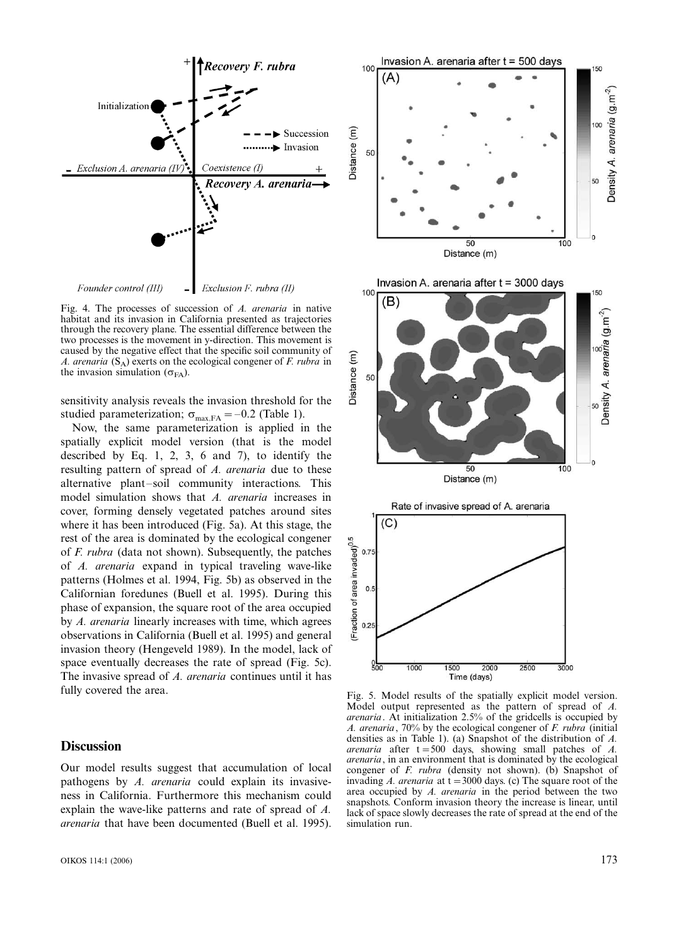

Fig. 4. The processes of succession of A. arenaria in native habitat and its invasion in California presented as trajectories through the recovery plane. The essential difference between the two processes is the movement in y-direction. This movement is caused by the negative effect that the specific soil community of A. arenaria  $(S_A)$  exerts on the ecological congener of F. rubra in the invasion simulation ( $\sigma_{FA}$ ).

sensitivity analysis reveals the invasion threshold for the studied parameterization;  $\sigma_{\text{max,FA}} = -0.2$  (Table 1).

Now, the same parameterization is applied in the spatially explicit model version (that is the model described by Eq. 1, 2, 3, 6 and 7), to identify the resulting pattern of spread of A. arenaria due to these alternative plant-soil community interactions. This model simulation shows that A. arenaria increases in cover, forming densely vegetated patches around sites where it has been introduced (Fig. 5a). At this stage, the rest of the area is dominated by the ecological congener of F. rubra (data not shown). Subsequently, the patches of A. arenaria expand in typical traveling wave-like patterns (Holmes et al. 1994, Fig. 5b) as observed in the Californian foredunes (Buell et al. 1995). During this phase of expansion, the square root of the area occupied by A. arenaria linearly increases with time, which agrees observations in California (Buell et al. 1995) and general invasion theory (Hengeveld 1989). In the model, lack of space eventually decreases the rate of spread (Fig. 5c). The invasive spread of A. arenaria continues until it has fully covered the area.

# **Discussion**

Our model results suggest that accumulation of local pathogens by A. arenaria could explain its invasiveness in California. Furthermore this mechanism could explain the wave-like patterns and rate of spread of A. arenaria that have been documented (Buell et al. 1995).



Fig. 5. Model results of the spatially explicit model version. Model output represented as the pattern of spread of A. arenaria. At initialization 2.5% of the gridcells is occupied by A. arenaria,  $70\%$  by the ecological congener of F. rubra (initial densities as in Table 1). (a) Snapshot of the distribution of A. arenaria after  $t = 500$  days, showing small patches of A. arenaria, in an environment that is dominated by the ecological congener of F. rubra (density not shown). (b) Snapshot of invading A. arenaria at  $t = 3000$  days. (c) The square root of the area occupied by A. arenaria in the period between the two snapshots. Conform invasion theory the increase is linear, until lack of space slowly decreases the rate of spread at the end of the simulation run.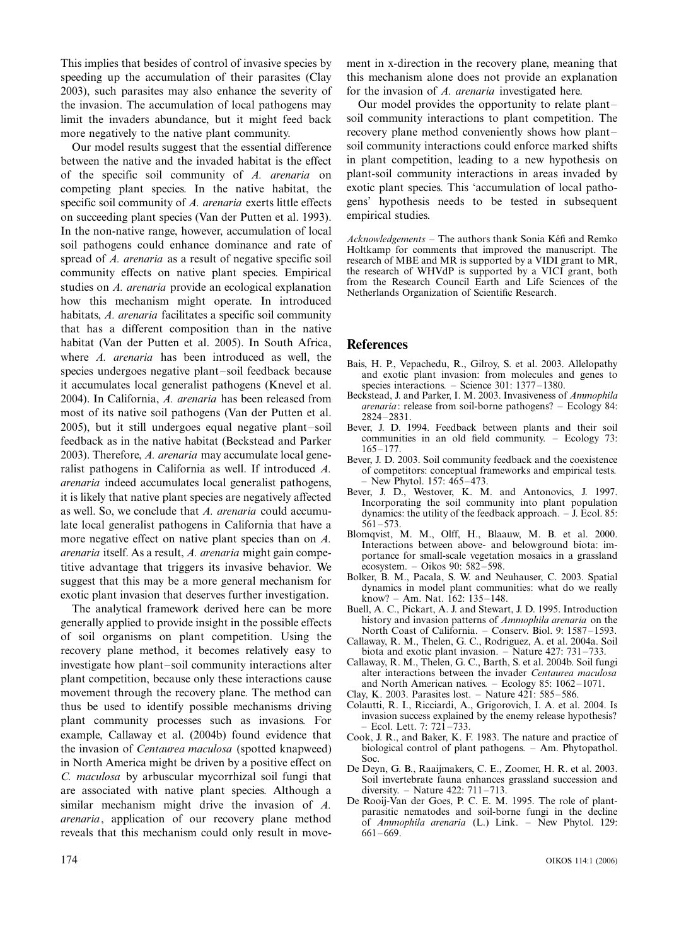This implies that besides of control of invasive species by speeding up the accumulation of their parasites (Clay 2003), such parasites may also enhance the severity of the invasion. The accumulation of local pathogens may limit the invaders abundance, but it might feed back more negatively to the native plant community.

Our model results suggest that the essential difference between the native and the invaded habitat is the effect of the specific soil community of A. arenaria on competing plant species. In the native habitat, the specific soil community of A. arenaria exerts little effects on succeeding plant species (Van der Putten et al. 1993). In the non-native range, however, accumulation of local soil pathogens could enhance dominance and rate of spread of A. arenaria as a result of negative specific soil community effects on native plant species. Empirical studies on A. arenaria provide an ecological explanation how this mechanism might operate. In introduced habitats, A. arenaria facilitates a specific soil community that has a different composition than in the native habitat (Van der Putten et al. 2005). In South Africa, where A. arenaria has been introduced as well, the species undergoes negative plant-soil feedback because it accumulates local generalist pathogens (Knevel et al. 2004). In California, A. arenaria has been released from most of its native soil pathogens (Van der Putten et al.  $2005$ ), but it still undergoes equal negative plant-soil feedback as in the native habitat (Beckstead and Parker 2003). Therefore, A. arenaria may accumulate local generalist pathogens in California as well. If introduced A. arenaria indeed accumulates local generalist pathogens, it is likely that native plant species are negatively affected as well. So, we conclude that A. arenaria could accumulate local generalist pathogens in California that have a more negative effect on native plant species than on A. arenaria itself. As a result, A. arenaria might gain competitive advantage that triggers its invasive behavior. We suggest that this may be a more general mechanism for exotic plant invasion that deserves further investigation.

The analytical framework derived here can be more generally applied to provide insight in the possible effects of soil organisms on plant competition. Using the recovery plane method, it becomes relatively easy to investigate how plant-soil community interactions alter plant competition, because only these interactions cause movement through the recovery plane. The method can thus be used to identify possible mechanisms driving plant community processes such as invasions. For example, Callaway et al. (2004b) found evidence that the invasion of Centaurea maculosa (spotted knapweed) in North America might be driven by a positive effect on C. maculosa by arbuscular mycorrhizal soil fungi that are associated with native plant species. Although a similar mechanism might drive the invasion of A. arenaria, application of our recovery plane method reveals that this mechanism could only result in movement in x-direction in the recovery plane, meaning that this mechanism alone does not provide an explanation for the invasion of A. *arenaria* investigated here.

Our model provides the opportunity to relate plant soil community interactions to plant competition. The recovery plane method conveniently shows how plant soil community interactions could enforce marked shifts in plant competition, leading to a new hypothesis on plant-soil community interactions in areas invaded by exotic plant species. This 'accumulation of local pathogens' hypothesis needs to be tested in subsequent empirical studies.

 $Acknowledgements$  – The authors thank Sonia Kéfi and Remko Holtkamp for comments that improved the manuscript. The research of MBE and MR is supported by a VIDI grant to MR, the research of WHVdP is supported by a VICI grant, both from the Research Council Earth and Life Sciences of the Netherlands Organization of Scientific Research.

## References

- Bais, H. P., Vepachedu, R., Gilroy, S. et al. 2003. Allelopathy and exotic plant invasion: from molecules and genes to species interactions.  $-$  Science 301: 1377 $-1380$ .
- Beckstead, J. and Parker, I. M. 2003. Invasiveness of Ammophila  $\alpha$ *renaria*: release from soil-borne pathogens? - Ecology 84: 2824-2831.
- Bever, J. D. 1994. Feedback between plants and their soil communities in an old field community. – Ecology 73: 165177.
- Bever, J. D. 2003. Soil community feedback and the coexistence of competitors: conceptual frameworks and empirical tests.  $-$  New Phytol. 157: 465–473.
- Bever, J. D., Westover, K. M. and Antonovics, J. 1997. Incorporating the soil community into plant population dynamics: the utility of the feedback approach.  $-$  J. Ecol. 85:  $561 - 573.$
- Blomqvist, M. M., Olff, H., Blaauw, M. B. et al. 2000. Interactions between above- and belowground biota: importance for small-scale vegetation mosaics in a grassland ecosystem.  $-$  Oikos 90: 582 $-$ 598.
- Bolker, B. M., Pacala, S. W. and Neuhauser, C. 2003. Spatial dynamics in model plant communities: what do we really know? - Am. Nat.  $162: 135-148$ .
- Buell, A. C., Pickart, A. J. and Stewart, J. D. 1995. Introduction history and invasion patterns of Ammophila arenaria on the North Coast of California. - Conserv. Biol. 9: 1587-1593.
- Callaway, R. M., Thelen, G. C., Rodriguez, A. et al. 2004a. Soil biota and exotic plant invasion.  $-$  Nature 427: 731-733.
- Callaway, R. M., Thelen, G. C., Barth, S. et al. 2004b. Soil fungi alter interactions between the invader Centaurea maculosa and North American natives.  $-$  Ecology 85: 1062-1071.
- Clay, K. 2003. Parasites lost. Nature  $421: 585-586$ .
- Colautti, R. I., Ricciardi, A., Grigorovich, I. A. et al. 2004. Is invasion success explained by the enemy release hypothesis? Ecol. Lett.  $7: 72\hat{1} - 733$ .
- Cook, J. R., and Baker, K. F. 1983. The nature and practice of biological control of plant pathogens. - Am. Phytopathol. Soc.
- De Deyn, G. B., Raaijmakers, C. E., Zoomer, H. R. et al. 2003. Soil invertebrate fauna enhances grassland succession and diversity. - Nature 422:  $711-713$ .
- De Rooij-Van der Goes, P. C. E. M. 1995. The role of plantparasitic nematodes and soil-borne fungi in the decline of Ammophila arenaria  $(L)$  Link. - New Phytol. 129: 661-669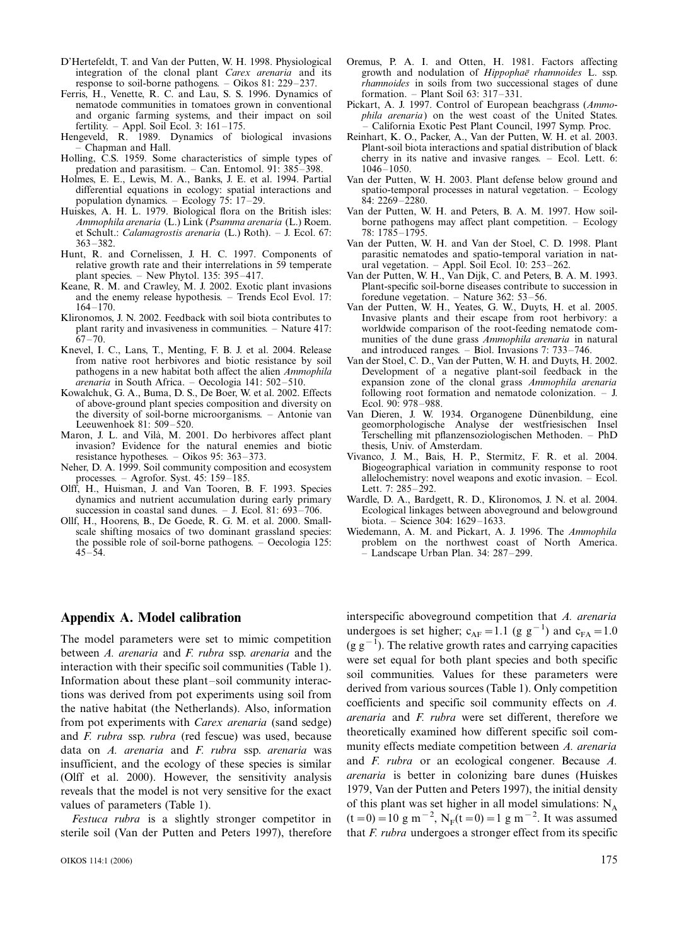- D'Hertefeldt, T. and Van der Putten, W. H. 1998. Physiological integration of the clonal plant Carex arenaria and its response to soil-borne pathogens. - Oikos 81: 229-237.
- Ferris, H., Venette, R. C. and Lau, S. S. 1996. Dynamics of nematode communities in tomatoes grown in conventional and organic farming systems, and their impact on soil fertility. – Appl. Soil Ecol. 3:  $161-175$ .
- Hengeveld, R. 1989. Dynamics of biological invasions Chapman and Hall.
- Holling, C.S. 1959. Some characteristics of simple types of predation and parasitism.  $-$  Can. Entomol. 91: 385–398.
- Holmes, E. E., Lewis, M. A., Banks, J. E. et al. 1994. Partial differential equations in ecology: spatial interactions and population dynamics. - Ecology  $75:17-29$ .
- Huiskes, A. H. L. 1979. Biological flora on the British isles: Ammophila arenaria (L.) Link (Psamma arenaria (L.) Roem. et Schult.: Calamagrostis arenaria (L.) Roth). - J. Ecol. 67:  $363 - 382.$
- Hunt, R. and Cornelissen, J. H. C. 1997. Components of relative growth rate and their interrelations in 59 temperate plant species.  $-$  New Phytol. 135: 395 $-417$ .
- Keane, R. M. and Crawley, M. J. 2002. Exotic plant invasions and the enemy release hypothesis. - Trends Ecol Evol. 17:  $164 - 170$ .
- Klironomos, J. N. 2002. Feedback with soil biota contributes to plant rarity and invasiveness in communities. - Nature 417:  $67 - 70$ .
- Knevel, I. C., Lans, T., Menting, F. B. J. et al. 2004. Release from native root herbivores and biotic resistance by soil pathogens in a new habitat both affect the alien Ammophila  $\alpha$ *arenaria* in South Africa. - Oecologia 141: 502-510.
- Kowalchuk, G. A., Buma, D. S., De Boer, W. et al. 2002. Effects of above-ground plant species composition and diversity on the diversity of soil-borne microorganisms. Antonie van Leeuwenhoek 81: 509-520.
- Maron, J. L. and Vilà, M. 2001. Do herbivores affect plant invasion? Evidence for the natural enemies and biotic resistance hypotheses.  $-$  Oikos 95: 363 $-$ 373.
- Neher, D. A. 1999. Soil community composition and ecosystem processes.  $-$  Agrofor. Syst. 45: 159 $-$ 185.
- Olff, H., Huisman, J. and Van Tooren, B. F. 1993. Species dynamics and nutrient accumulation during early primary succession in coastal sand dunes.  $-$  J. Ecol. 81: 693-706.
- Ollf, H., Hoorens, B., De Goede, R. G. M. et al. 2000. Smallscale shifting mosaics of two dominant grassland species: the possible role of soil-borne pathogens. - Oecologia 125:  $45 - 54$ .

### Appendix A. Model calibration

The model parameters were set to mimic competition between A. arenaria and F. rubra ssp. arenaria and the interaction with their specific soil communities (Table 1). Information about these plant-soil community interactions was derived from pot experiments using soil from the native habitat (the Netherlands). Also, information from pot experiments with Carex arenaria (sand sedge) and F. rubra ssp. rubra (red fescue) was used, because data on A. arenaria and F. rubra ssp. arenaria was insufficient, and the ecology of these species is similar (Olff et al. 2000). However, the sensitivity analysis reveals that the model is not very sensitive for the exact values of parameters (Table 1).

Festuca rubra is a slightly stronger competitor in sterile soil (Van der Putten and Peters 1997), therefore

- Oremus, P. A. I. and Otten, H. 1981. Factors affecting growth and nodulation of Hippophaë rhamnoides L. ssp. rhamnoides in soils from two successional stages of dune formation.  $-$  Plant Soil 63: 317-331.
- Pickart, A. J. 1997. Control of European beachgrass (Ammophila arenaria) on the west coast of the United States. California Exotic Pest Plant Council, 1997 Symp. Proc.
- Reinhart, K. O., Packer, A., Van der Putten, W. H. et al. 2003. Plant-soil biota interactions and spatial distribution of black cherry in its native and invasive ranges. - Ecol. Lett. 6:  $1046 - 1050$
- Van der Putten, W. H. 2003. Plant defense below ground and spatio-temporal processes in natural vegetation. - Ecology  $84: 2269 - 2280.$
- Van der Putten, W. H. and Peters, B. A. M. 1997. How soilborne pathogens may affect plant competition. – Ecology 78: 1785-1795.
- Van der Putten, W. H. and Van der Stoel, C. D. 1998. Plant parasitic nematodes and spatio-temporal variation in natural vegetation.  $-$  Appl. Soil Ecol. 10: 253-262.
- Van der Putten, W. H., Van Dijk, C. and Peters, B. A. M. 1993. Plant-specific soil-borne diseases contribute to succession in foredune vegetation.  $-$  Nature 362: 53-56.
- Van der Putten, W. H., Yeates, G. W., Duyts, H. et al. 2005. Invasive plants and their escape from root herbivory: a worldwide comparison of the root-feeding nematode communities of the dune grass Ammophila arenaria in natural and introduced ranges.  $-$  Biol. Invasions 7: 733-746.
- Van der Stoel, C. D., Van der Putten, W. H. and Duyts, H. 2002. Development of a negative plant-soil feedback in the expansion zone of the clonal grass Ammophila arenaria following root formation and nematode colonization.  $-$  J. Ecol. 90: 978-988.
- Van Dieren, J. W. 1934. Organogene Dünenbildung, eine geomorphologische Analyse der westfriesischen Insel Terschelling mit pflanzensoziologischen Methoden. PhD thesis, Univ. of Amsterdam.
- Vivanco, J. M., Bais, H. P., Stermitz, F. R. et al. 2004. Biogeographical variation in community response to root allelochemistry: novel weapons and exotic invasion. - Ecol. Lett.  $7: 285 - 292$ .
- Wardle, D. A., Bardgett, R. D., Klironomos, J. N. et al. 2004. Ecological linkages between aboveground and belowground biota. – Science 304:  $1629-1633$ .
- Wiedemann, A. M. and Pickart, A. J. 1996. The Ammophila problem on the northwest coast of North America.  $-Land \, \text{cape Urban Plan.}$  34: 287-299.

interspecific aboveground competition that A. arenaria undergoes is set higher;  $c_{AF} = 1.1$  (g g<sup>-1</sup>) and  $c_{FA} = 1.0$  $(g g<sup>-1</sup>)$ . The relative growth rates and carrying capacities were set equal for both plant species and both specific soil communities. Values for these parameters were derived from various sources (Table 1). Only competition coefficients and specific soil community effects on A. arenaria and F. rubra were set different, therefore we theoretically examined how different specific soil community effects mediate competition between A. arenaria and F. rubra or an ecological congener. Because A. arenaria is better in colonizing bare dunes (Huiskes 1979, Van der Putten and Peters 1997), the initial density of this plant was set higher in all model simulations:  $N_A$  $(t=0) = 10$  g m<sup>-2</sup>, N<sub>F</sub>(t=0) = 1 g m<sup>-2</sup>. It was assumed that F. rubra undergoes a stronger effect from its specific